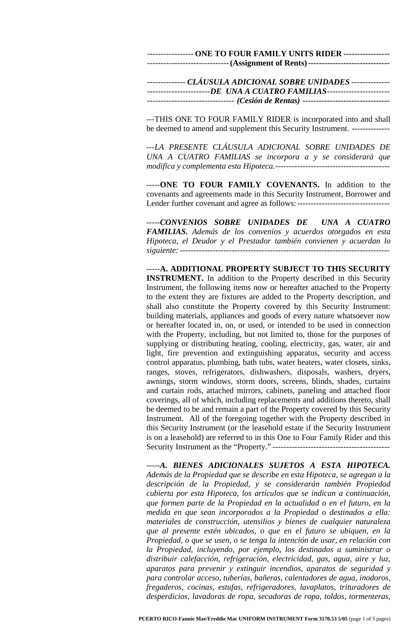| ----------------- ONE TO FOUR FAMILY UNITS RIDER ------------------ |
|---------------------------------------------------------------------|
|                                                                     |
|                                                                     |
| -------------- CLÁUSULA ADICIONAL SOBRE UNIDADES ---------------    |

*-----------------------DE UNA A CUATRO FAMILIAS----------------------- -------------------------------- (Cesión de Rentas)* **--------------------------------**

---THIS ONE TO FOUR FAMILY RIDER is incorporated into and shall be deemed to amend and supplement this Security Instrument. --------------

*---LA PRESENTE CLÁUSULA ADICIONAL SOBRE UNIDADES DE UNA A CUATRO FAMILIAS se incorpora a y se considerará que modifica y complementa esta Hipoteca.------------------------------------------*

-----**ONE TO FOUR FAMILY COVENANTS.** In addition to the covenants and agreements made in this Security Instrument, Borrower and Lender further covenant and agree as follows: -----------------------------------

*-----CONVENIOS SOBRE UNIDADES DE UNA A CUATRO FAMILIAS. Además de los convenios y acuerdos otorgados en esta Hipoteca, el Deudor y el Prestador también convienen y acuerdan lo siguiente:-----------------------------------------------------------------------------*

-----**A. ADDITIONAL PROPERTY SUBJECT TO THIS SECURITY INSTRUMENT.** In addition to the Property described in this Security Instrument, the following items now or hereafter attached to the Property to the extent they are fixtures are added to the Property description, and shall also constitute the Property covered by this Security Instrument: building materials, appliances and goods of every nature whatsoever now or hereafter located in, on, or used, or intended to be used in connection with the Property, including, but not limited to, those for the purposes of supplying or distributing heating, cooling, electricity, gas, water, air and light, fire prevention and extinguishing apparatus, security and access control apparatus, plumbing, bath tubs, water heaters, water closets, sinks, ranges, stoves, refrigerators, dishwashers, disposals, washers, dryers, awnings, storm windows, storm doors, screens, blinds, shades, curtains and curtain rods, attached mirrors, cabinets, paneling and attached floor coverings, all of which, including replacements and additions thereto, shall be deemed to be and remain a part of the Property covered by this Security Instrument. All of the foregoing together with the Property described in this Security Instrument (or the leasehold estate if the Security Instrument is on a leasehold) are referred to in this One to Four Family Rider and this Security Instrument as the "Property." -------------------------------------------

*-----A. BIENES ADICIONALES SUJETOS A ESTA HIPOTECA. Además de la Propiedad que se describe en esta Hipoteca, se agregan a la descripción de la Propiedad, y se considerarán también Propiedad cubierta por esta Hipoteca, los artículos que se indican a continuación, que formen parte de la Propiedad en la actualidad o en el futuro, en la medida en que sean incorporados a la Propiedad o destinados a ella: materiales de construcción, utensilios y bienes de cualquier naturaleza que al presente estén ubicados, o que en el futuro se ubiquen, en la Propiedad, o que se usen, o se tenga la intención de usar, en relación con la Propiedad, incluyendo, por ejemplo, los destinados a suministrar o distribuir calefacción, refrigeración, electricidad, gas, agua, aire y luz, aparatos para prevenir y extinguir incendios, aparatos de seguridad y para controlar acceso, tuberías, bañeras, calentadores de agua, inodoros, fregaderos, cocinas, estufas, refrigeradores, lavaplatos, trituradores de desperdicios, lavadoras de ropa, secadoras de ropa, toldos, tormenteras,*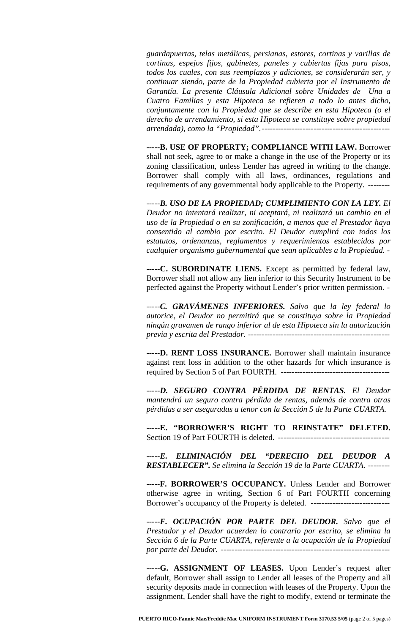*guardapuertas, telas metálicas, persianas, estores, cortinas y varillas de cortinas, espejos fijos, gabinetes, paneles y cubiertas fijas para pisos, todos los cuales, con sus reemplazos y adiciones, se considerarán ser, y continuar siendo, parte de la Propiedad cubierta por el Instrumento de Garantía. La presente Cláusula Adicional sobre Unidades de Una a Cuatro Familias y esta Hipoteca se refieren a todo lo antes dicho, conjuntamente con la Propiedad que se describe en esta Hipoteca (o el derecho de arrendamiento, si esta Hipoteca se constituye sobre propiedad arrendada), como la "Propiedad".-----------------------------------------------*

**-----B. USE OF PROPERTY; COMPLIANCE WITH LAW.** Borrower shall not seek, agree to or make a change in the use of the Property or its zoning classification, unless Lender has agreed in writing to the change. Borrower shall comply with all laws, ordinances, regulations and requirements of any governmental body applicable to the Property. --------

*-----B. USO DE LA PROPIEDAD; CUMPLIMIENTO CON LA LEY. El Deudor no intentará realizar, ni aceptará, ni realizará un cambio en el uso de la Propiedad o en su zonificación, a menos que el Prestador haya consentido al cambio por escrito. El Deudor cumplirá con todos los estatutos, ordenanzas, reglamentos y requerimientos establecidos por cualquier organismo gubernamental que sean aplicables a la Propiedad. -*

-----**C. SUBORDINATE LIENS.** Except as permitted by federal law, Borrower shall not allow any lien inferior to this Security Instrument to be perfected against the Property without Lender's prior written permission. -

*-----C. GRAVÁMENES INFERIORES. Salvo que la ley federal lo autorice, el Deudor no permitirá que se constituya sobre la Propiedad ningún gravamen de rango inferior al de esta Hipoteca sin la autorización previa y escrita del Prestador. ----------------------------------------------------*

-----**D. RENT LOSS INSURANCE.** Borrower shall maintain insurance against rent loss in addition to the other hazards for which insurance is required by Section 5 of Part FOURTH. ----------------------------------------

*-----D. SEGURO CONTRA PÉRDIDA DE RENTAS. El Deudor mantendrá un seguro contra pérdida de rentas, además de contra otras pérdidas a ser aseguradas a tenor con la Sección 5 de la Parte CUARTA.* 

-----**E. "BORROWER'S RIGHT TO REINSTATE" DELETED.** Section 19 of Part FOURTH is deleted. -----------------------------------------

*-----E. ELIMINACIÓN DEL "DERECHO DEL DEUDOR A RESTABLECER". Se elimina la Sección 19 de la Parte CUARTA. --------*

**-----F. BORROWER'S OCCUPANCY.** Unless Lender and Borrower otherwise agree in writing, Section 6 of Part FOURTH concerning Borrower's occupancy of the Property is deleted. --------------------------------

*-----F. OCUPACIÓN POR PARTE DEL DEUDOR. Salvo que el Prestador y el Deudor acuerden lo contrario por escrito, se elimina la Sección 6 de la Parte CUARTA, referente a la ocupación de la Propiedad por parte del Deudor. --------------------------------------------------------------*

-----**G. ASSIGNMENT OF LEASES.** Upon Lender's request after default, Borrower shall assign to Lender all leases of the Property and all security deposits made in connection with leases of the Property. Upon the assignment, Lender shall have the right to modify, extend or terminate the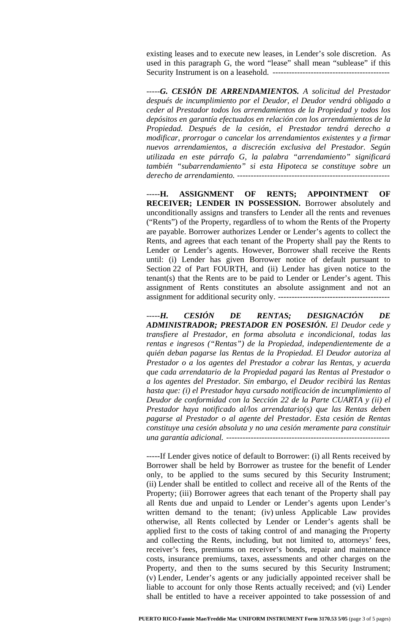existing leases and to execute new leases, in Lender's sole discretion. As used in this paragraph G, the word "lease" shall mean "sublease" if this Security Instrument is on a leasehold. -------------------------------------------

*-----G. CESIÓN DE ARRENDAMIENTOS. A solicitud del Prestador después de incumplimiento por el Deudor, el Deudor vendrá obligado a ceder al Prestador todos los arrendamientos de la Propiedad y todos los depósitos en garantía efectuados en relación con los arrendamientos de la Propiedad. Después de la cesión, el Prestador tendrá derecho a modificar, prorrogar o cancelar los arrendamientos existentes y a firmar nuevos arrendamientos, a discreción exclusiva del Prestador. Según utilizada en este párrafo G, la palabra "arrendamiento" significará también "subarrendamiento" si esta Hipoteca se constituye sobre un derecho de arrendamiento. --------------------------------------------------------*

-----**H. ASSIGNMENT OF RENTS; APPOINTMENT OF RECEIVER; LENDER IN POSSESSION.** Borrower absolutely and unconditionally assigns and transfers to Lender all the rents and revenues ("Rents") of the Property, regardless of to whom the Rents of the Property are payable. Borrower authorizes Lender or Lender's agents to collect the Rents, and agrees that each tenant of the Property shall pay the Rents to Lender or Lender's agents. However, Borrower shall receive the Rents until: (i) Lender has given Borrower notice of default pursuant to Section 22 of Part FOURTH, and (ii) Lender has given notice to the tenant(s) that the Rents are to be paid to Lender or Lender's agent. This assignment of Rents constitutes an absolute assignment and not an assignment for additional security only. -----------------------------------------

*-----H. CESIÓN DE RENTAS; DESIGNACIÓN DE ADMINISTRADOR; PRESTADOR EN POSESIÓN. El Deudor cede y transfiere al Prestador, en forma absoluta e incondicional, todas las rentas e ingresos ("Rentas") de la Propiedad, independientemente de a quién deban pagarse las Rentas de la Propiedad. El Deudor autoriza al Prestador o a los agentes del Prestador a cobrar las Rentas, y acuerda que cada arrendatario de la Propiedad pagará las Rentas al Prestador o a los agentes del Prestador. Sin embargo, el Deudor recibirá las Rentas hasta que: (i) el Prestador haya cursado notificación de incumplimiento al Deudor de conformidad con la Sección 22 de la Parte CUARTA y (ii) el Prestador haya notificado al/los arrendatario(s) que las Rentas deben pagarse al Prestador o al agente del Prestador. Esta cesión de Rentas constituye una cesión absoluta y no una cesión meramente para constituir una garantía adicional. ------------------------------------------------------------*

-----If Lender gives notice of default to Borrower: (i) all Rents received by Borrower shall be held by Borrower as trustee for the benefit of Lender only, to be applied to the sums secured by this Security Instrument; (ii) Lender shall be entitled to collect and receive all of the Rents of the Property; (iii) Borrower agrees that each tenant of the Property shall pay all Rents due and unpaid to Lender or Lender's agents upon Lender's written demand to the tenant; (iv) unless Applicable Law provides otherwise, all Rents collected by Lender or Lender's agents shall be applied first to the costs of taking control of and managing the Property and collecting the Rents, including, but not limited to, attorneys' fees, receiver's fees, premiums on receiver's bonds, repair and maintenance costs, insurance premiums, taxes, assessments and other charges on the Property, and then to the sums secured by this Security Instrument; (v) Lender, Lender's agents or any judicially appointed receiver shall be liable to account for only those Rents actually received; and (vi) Lender shall be entitled to have a receiver appointed to take possession of and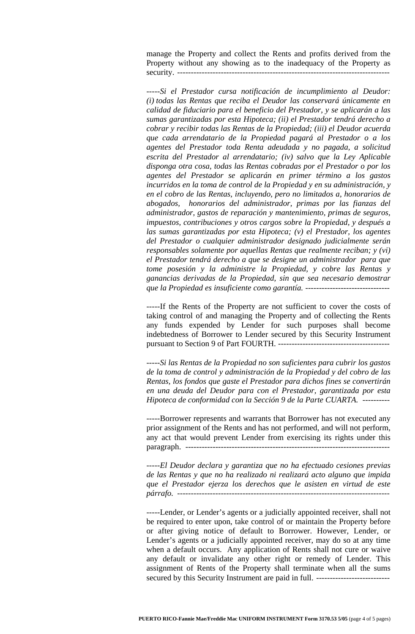manage the Property and collect the Rents and profits derived from the Property without any showing as to the inadequacy of the Property as security. ------------------------------------------------------------------------------

*-----Si el Prestador cursa notificación de incumplimiento al Deudor: (i) todas las Rentas que reciba el Deudor las conservará únicamente en calidad de fiduciario para el beneficio del Prestador, y se aplicarán a las sumas garantizadas por esta Hipoteca; (ii) el Prestador tendrá derecho a cobrar y recibir todas las Rentas de la Propiedad; (iii) el Deudor acuerda que cada arrendatario de la Propiedad pagará al Prestador o a los agentes del Prestador toda Renta adeudada y no pagada, a solicitud escrita del Prestador al arrendatario; (iv) salvo que la Ley Aplicable disponga otra cosa, todas las Rentas cobradas por el Prestador o por los agentes del Prestador se aplicarán en primer término a los gastos incurridos en la toma de control de la Propiedad y en su administración, y en el cobro de las Rentas, incluyendo, pero no limitados a, honorarios de abogados, honorarios del administrador, primas por las fianzas del administrador, gastos de reparación y mantenimiento, primas de seguros, impuestos, contribuciones y otros cargos sobre la Propiedad, y después a las sumas garantizadas por esta Hipoteca; (v) el Prestador, los agentes del Prestador o cualquier administrador designado judicialmente serán responsables solamente por aquellas Rentas que realmente reciban; y (vi) el Prestador tendrá derecho a que se designe un administrador para que tome posesión y la administre la Propiedad, y cobre las Rentas y ganancias derivadas de la Propiedad, sin que sea necesario demostrar que la Propiedad es insuficiente como garantía. -------------------------------*

-----If the Rents of the Property are not sufficient to cover the costs of taking control of and managing the Property and of collecting the Rents any funds expended by Lender for such purposes shall become indebtedness of Borrower to Lender secured by this Security Instrument pursuant to Section 9 of Part FOURTH. -----------------------------------------

*-----Si las Rentas de la Propiedad no son suficientes para cubrir los gastos de la toma de control y administración de la Propiedad y del cobro de las Rentas, los fondos que gaste el Prestador para dichos fines se convertirán en una deuda del Deudor para con el Prestador, garantizada por esta Hipoteca de conformidad con la Sección 9 de la Parte CUARTA. ----------*

-----Borrower represents and warrants that Borrower has not executed any prior assignment of the Rents and has not performed, and will not perform, any act that would prevent Lender from exercising its rights under this paragraph. ---------------------------------------------------------------------------

*-----El Deudor declara y garantiza que no ha efectuado cesiones previas de las Rentas y que no ha realizado ni realizará acto alguno que impida que el Prestador ejerza los derechos que le asisten en virtud de este párrafo. ------------------------------------------------------------------------------*

-----Lender, or Lender's agents or a judicially appointed receiver, shall not be required to enter upon, take control of or maintain the Property before or after giving notice of default to Borrower. However, Lender, or Lender's agents or a judicially appointed receiver, may do so at any time when a default occurs. Any application of Rents shall not cure or waive any default or invalidate any other right or remedy of Lender. This assignment of Rents of the Property shall terminate when all the sums secured by this Security Instrument are paid in full. ---------------------------